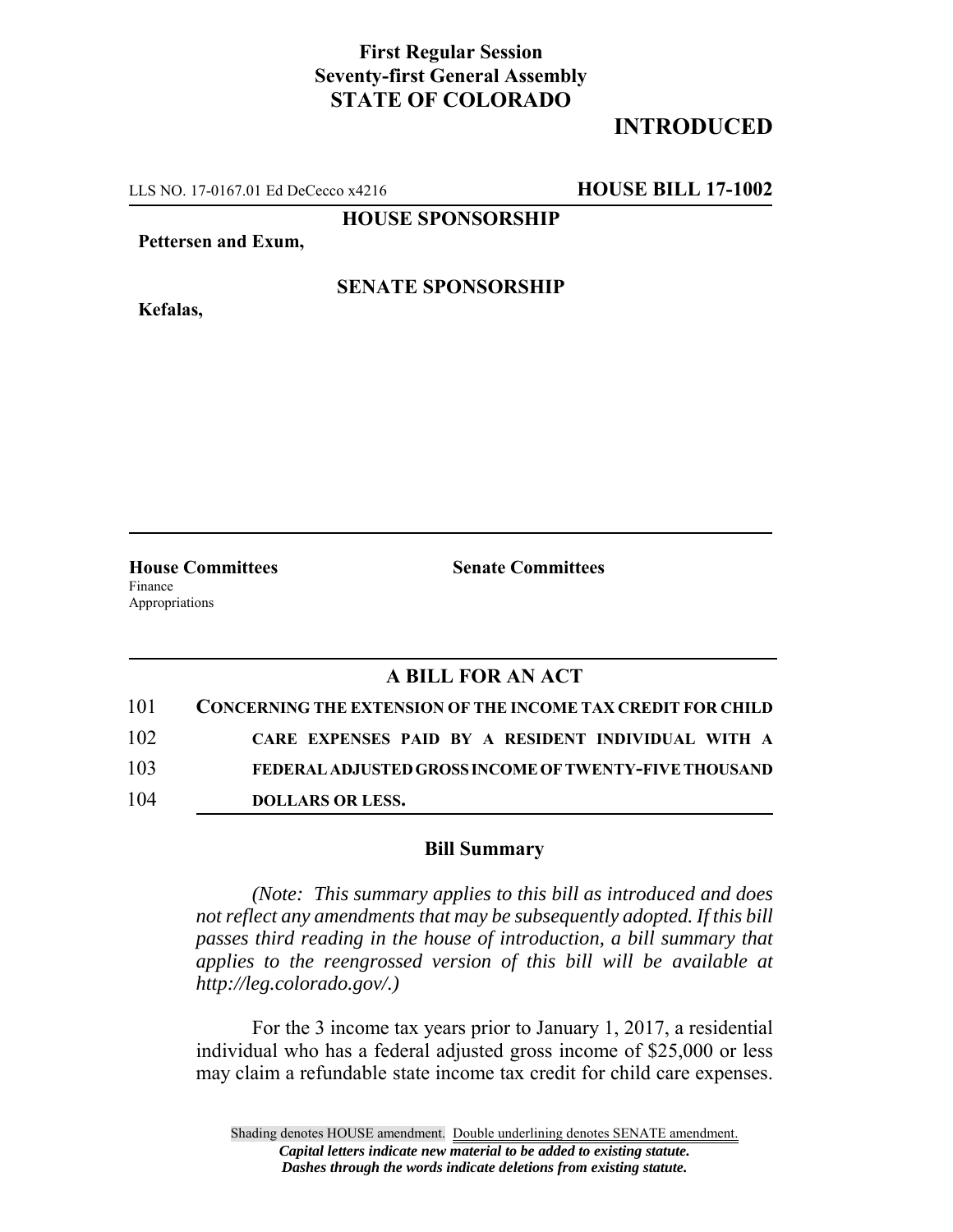## **First Regular Session Seventy-first General Assembly STATE OF COLORADO**

# **INTRODUCED**

LLS NO. 17-0167.01 Ed DeCecco x4216 **HOUSE BILL 17-1002**

**HOUSE SPONSORSHIP**

**Pettersen and Exum,**

**Kefalas,**

#### **SENATE SPONSORSHIP**

Finance Appropriations

**House Committees Senate Committees**

### **A BILL FOR AN ACT**

| 101 | <b>CONCERNING THE EXTENSION OF THE INCOME TAX CREDIT FOR CHILD</b> |
|-----|--------------------------------------------------------------------|
| 102 | CARE EXPENSES PAID BY A RESIDENT INDIVIDUAL WITH A                 |
| 103 | FEDERAL ADJUSTED GROSS INCOME OF TWENTY-FIVE THOUSAND              |
| 104 | <b>DOLLARS OR LESS.</b>                                            |

#### **Bill Summary**

*(Note: This summary applies to this bill as introduced and does not reflect any amendments that may be subsequently adopted. If this bill passes third reading in the house of introduction, a bill summary that applies to the reengrossed version of this bill will be available at http://leg.colorado.gov/.)*

For the 3 income tax years prior to January 1, 2017, a residential individual who has a federal adjusted gross income of \$25,000 or less may claim a refundable state income tax credit for child care expenses.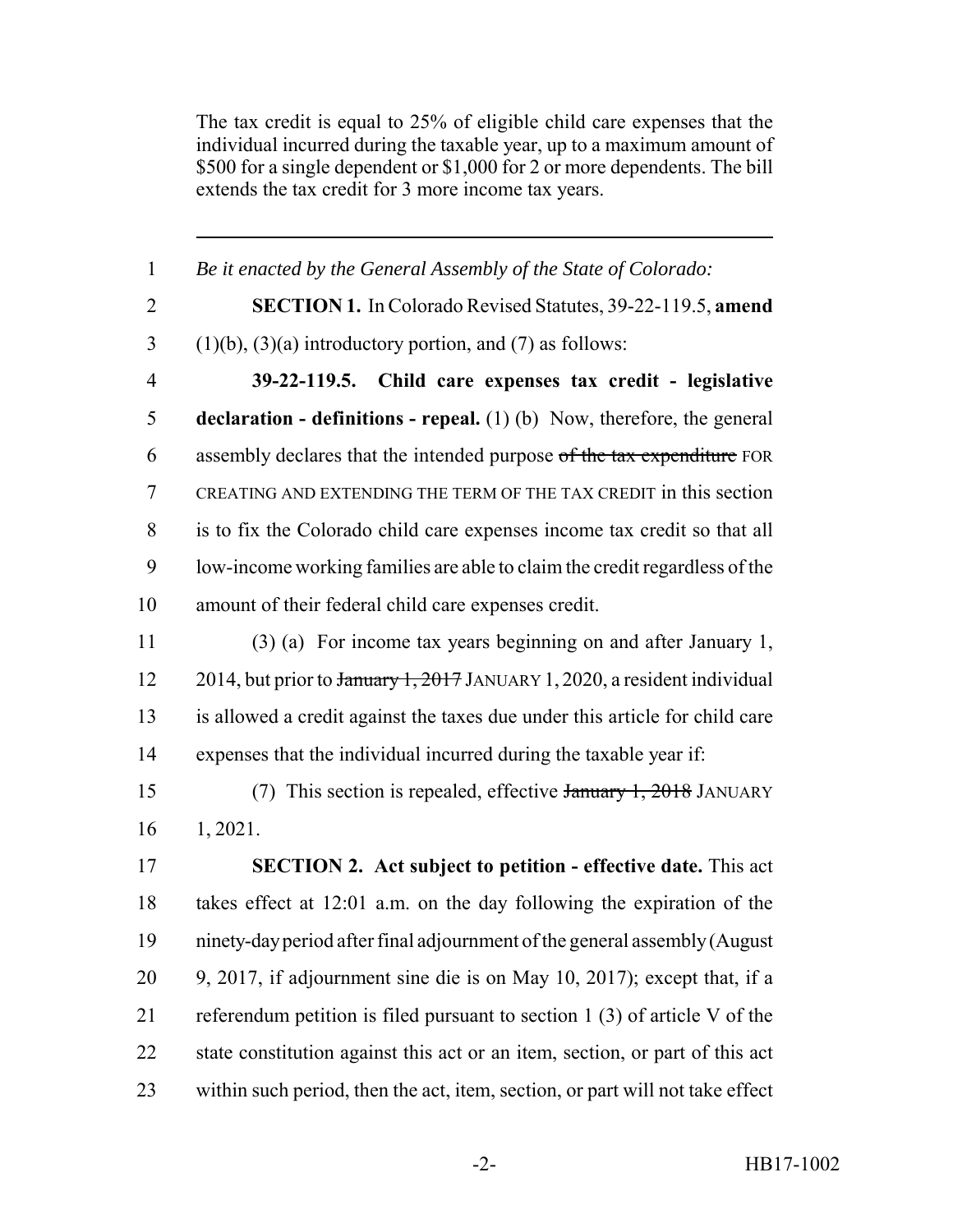The tax credit is equal to 25% of eligible child care expenses that the individual incurred during the taxable year, up to a maximum amount of \$500 for a single dependent or \$1,000 for 2 or more dependents. The bill extends the tax credit for 3 more income tax years.

| $\mathbf{1}$   | Be it enacted by the General Assembly of the State of Colorado:                |
|----------------|--------------------------------------------------------------------------------|
| $\overline{2}$ | <b>SECTION 1.</b> In Colorado Revised Statutes, 39-22-119.5, amend             |
| $\overline{3}$ | $(1)(b)$ , $(3)(a)$ introductory portion, and $(7)$ as follows:                |
| $\overline{4}$ | 39-22-119.5. Child care expenses tax credit - legislative                      |
| 5              | <b>declaration - definitions - repeal.</b> (1) (b) Now, therefore, the general |
| 6              | assembly declares that the intended purpose of the tax expenditure FOR         |
| 7              | CREATING AND EXTENDING THE TERM OF THE TAX CREDIT in this section              |
| 8              | is to fix the Colorado child care expenses income tax credit so that all       |
| 9              | low-income working families are able to claim the credit regardless of the     |
| 10             | amount of their federal child care expenses credit.                            |
| 11             | $(3)$ (a) For income tax years beginning on and after January 1,               |
| 12             | 2014, but prior to January 1, 2017 JANUARY 1, 2020, a resident individual      |
| 13             | is allowed a credit against the taxes due under this article for child care    |
| 14             | expenses that the individual incurred during the taxable year if:              |
| 15             | (7) This section is repealed, effective January 1, 2018 JANUARY                |
| 16             | 1, 2021.                                                                       |
| 17             | <b>SECTION 2.</b> Act subject to petition - effective date. This act           |
| 18             | takes effect at 12:01 a.m. on the day following the expiration of the          |
| 19             | ninety-day period after final adjournment of the general assembly (August      |
| 20             | 9, 2017, if adjournment sine die is on May 10, 2017); except that, if a        |
| 21             | referendum petition is filed pursuant to section $1(3)$ of article V of the    |
| 22             | state constitution against this act or an item, section, or part of this act   |
| 23             | within such period, then the act, item, section, or part will not take effect  |